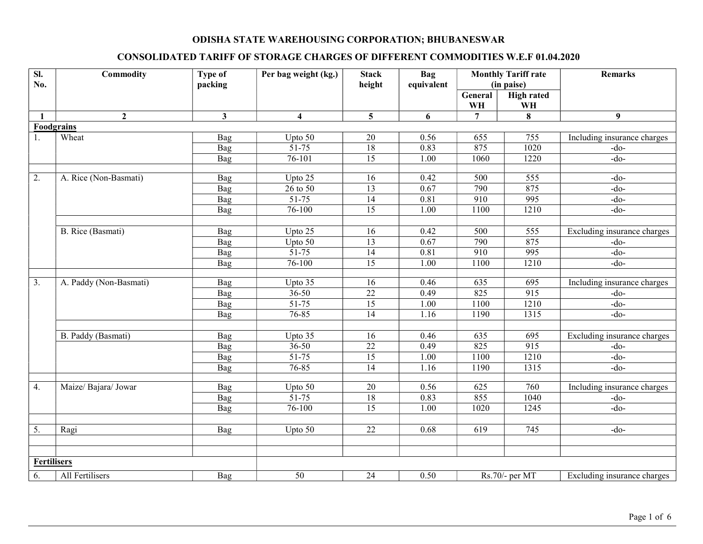## ODISHA STATE WAREHOUSING CORPORATION; BHUBANESWAR

## CONSOLIDATED TARIFF OF STORAGE CHARGES OF DIFFERENT COMMODITIES W.E.F 01.04.2020

| $\overline{sl}$ .<br>No. | Commodity              | <b>Type of</b><br>packing | Per bag weight (kg.)    | <b>Stack</b><br>height | <b>Bag</b><br>equivalent | <b>Monthly Tariff rate</b><br>(in paise) |                         | <b>Remarks</b>              |
|--------------------------|------------------------|---------------------------|-------------------------|------------------------|--------------------------|------------------------------------------|-------------------------|-----------------------------|
|                          |                        |                           |                         |                        |                          | General<br>WH                            | <b>High rated</b><br>WH |                             |
| $\mathbf{1}$             | $\overline{2}$         | 3                         | $\overline{\mathbf{4}}$ | 5                      | 6                        | $\overline{7}$                           | 8                       | 9 <sup>°</sup>              |
|                          | <b>Foodgrains</b>      |                           |                         |                        |                          |                                          |                         |                             |
| 1.                       | Wheat                  | Bag                       | Upto 50                 | 20                     | 0.56                     | 655                                      | 755                     | Including insurance charges |
|                          |                        | Bag                       | $51 - 75$               | 18                     | 0.83                     | 875                                      | 1020                    | $-do-$                      |
|                          |                        | Bag                       | $76 - 101$              | $\overline{15}$        | 1.00                     | 1060                                     | 1220                    | $-do-$                      |
|                          |                        |                           |                         |                        |                          |                                          |                         |                             |
| 2.                       | A. Rice (Non-Basmati)  | Bag                       | Upto 25                 | 16                     | 0.42                     | 500                                      | 555                     | -do-                        |
|                          |                        | Bag                       | $26$ to $50$            | $\overline{13}$        | 0.67                     | 790                                      | 875                     | $-do-$                      |
|                          |                        | Bag                       | $51-75$                 | 14                     | 0.81                     | 910                                      | 995                     | $-do-$                      |
|                          |                        | <b>Bag</b>                | $76 - 100$              | $\overline{15}$        | 1.00                     | 1100                                     | 1210                    | $-do-$                      |
|                          |                        |                           |                         |                        |                          |                                          |                         |                             |
|                          | B. Rice (Basmati)      | Bag                       | Upto 25                 | 16                     | 0.42                     | 500                                      | 555                     | Excluding insurance charges |
|                          |                        | Bag                       | Upto $50$               | 13                     | 0.67                     | 790                                      | 875                     | $-do-$                      |
|                          |                        | Bag                       | $51 - 75$               | $\overline{14}$        | 0.81                     | 910                                      | 995                     | $-do-$                      |
|                          |                        | Bag                       | $76 - 100$              | $\overline{15}$        | 1.00                     | 1100                                     | 1210                    | $-do-$                      |
| 3.                       | A. Paddy (Non-Basmati) | Bag                       | Upto 35                 | 16                     | 0.46                     | 635                                      | 695                     | Including insurance charges |
|                          |                        | Bag                       | $36 - 50$               | $\overline{22}$        | 0.49                     | 825                                      | 915                     | $-do-$                      |
|                          |                        | Bag                       | $51 - 75$               | $\overline{15}$        | 1.00                     | 1100                                     | 1210                    | $-do-$                      |
|                          |                        | Bag                       | 76-85                   | $\overline{14}$        | 1.16                     | 1190                                     | 1315                    | $-do-$                      |
|                          |                        |                           |                         |                        |                          |                                          |                         |                             |
|                          | B. Paddy (Basmati)     | Bag                       | Upto 35                 | 16                     | 0.46                     | 635                                      | 695                     | Excluding insurance charges |
|                          |                        | Bag                       | $36 - 50$               | $\overline{22}$        | 0.49                     | 825                                      | 915                     | $-do$ -                     |
|                          |                        | Bag                       | 51-75                   | 15                     | 1.00                     | 1100                                     | 1210                    | $-do-$                      |
|                          |                        | Bag                       | 76-85                   | 14                     | 1.16                     | 1190                                     | 1315                    | $-do-$                      |
|                          |                        |                           |                         |                        |                          |                                          |                         |                             |
| 4.                       | Maize/ Bajara/ Jowar   | Bag                       | Upto 50                 | 20                     | 0.56                     | 625                                      | 760                     | Including insurance charges |
|                          |                        | Bag                       | $51 - 75$               | 18                     | 0.83                     | 855                                      | 1040                    | $-do-$                      |
|                          |                        | Bag                       | $76 - 100$              | $\overline{15}$        | 1.00                     | 1020                                     | 1245                    | $-do-$                      |
|                          |                        |                           |                         |                        |                          |                                          |                         |                             |
| $\overline{5}$ .         | Ragi                   | Bag                       | Upto 50                 | $\overline{22}$        | 0.68                     | 619                                      | $\overline{745}$        | $-do-$                      |
|                          |                        |                           |                         |                        |                          |                                          |                         |                             |
|                          |                        |                           |                         |                        |                          |                                          |                         |                             |
| <b>Fertilisers</b>       |                        |                           |                         |                        |                          |                                          |                         |                             |
| 6.                       | All Fertilisers        | Bag                       | $\overline{50}$         | $\overline{24}$        | 0.50                     |                                          | Rs.70/- per MT          | Excluding insurance charges |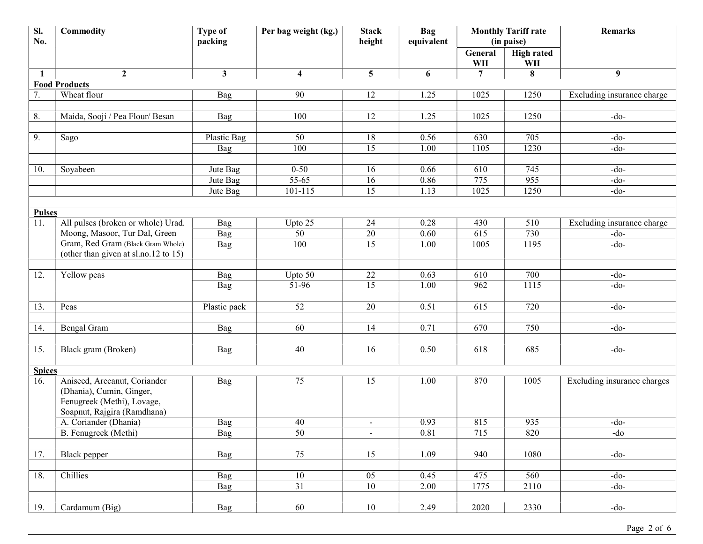| Sl.<br>No.    | Commodity                            | <b>Type of</b><br>packing | Per bag weight (kg.)    | <b>Stack</b><br>height | <b>Bag</b><br>equivalent | <b>Monthly Tariff rate</b><br>(in paise) |                   | <b>Remarks</b>              |
|---------------|--------------------------------------|---------------------------|-------------------------|------------------------|--------------------------|------------------------------------------|-------------------|-----------------------------|
|               |                                      |                           |                         |                        |                          | General                                  | <b>High rated</b> |                             |
|               |                                      |                           |                         |                        |                          | WH                                       | WH                |                             |
| 1             | $\overline{2}$                       | $\mathbf{3}$              | $\overline{\mathbf{4}}$ | $5\overline{)}$        | 6                        | 7                                        | 8                 | 9                           |
|               | <b>Food Products</b>                 |                           |                         |                        |                          |                                          |                   |                             |
| 7.            | Wheat flour                          | Bag                       | 90                      | 12                     | 1.25                     | 1025                                     | 1250              | Excluding insurance charge  |
|               |                                      |                           |                         |                        |                          |                                          |                   |                             |
| 8.            | Maida, Sooji / Pea Flour/ Besan      | Bag                       | 100                     | 12                     | 1.25                     | 1025                                     | 1250              | $-do-$                      |
|               |                                      |                           |                         |                        |                          |                                          |                   |                             |
| 9.            | Sago                                 | Plastic Bag               | 50                      | 18                     | 0.56                     | 630                                      | 705               | $-do-$                      |
|               |                                      | Bag                       | 100                     | 15                     | 1.00                     | 1105                                     | 1230              | $-do-$                      |
|               |                                      |                           |                         |                        |                          |                                          |                   |                             |
| 10.           | Soyabeen                             | Jute Bag                  | $0 - 50$                | 16                     | 0.66                     | 610                                      | 745<br>955        | $-do-$                      |
|               |                                      | Jute Bag<br>Jute Bag      | 55-65<br>$101 - 115$    | 16<br>15               | 0.86                     | 775<br>1025                              | 1250              | $-do-$<br>$-do-$            |
|               |                                      |                           |                         |                        | 1.13                     |                                          |                   |                             |
| <b>Pulses</b> |                                      |                           |                         |                        |                          |                                          |                   |                             |
| 11.           | All pulses (broken or whole) Urad.   | Bag                       | Upto 25                 | 24                     | 0.28                     | 430                                      | 510               | Excluding insurance charge  |
|               | Moong, Masoor, Tur Dal, Green        | Bag                       | 50                      | $\overline{20}$        | 0.60                     | 615                                      | 730               | $-do-$                      |
|               | Gram, Red Gram (Black Gram Whole)    | Bag                       | 100                     | $\overline{15}$        | 1.00                     | 1005                                     | 1195              | $-do-$                      |
|               | (other than given at sl.no.12 to 15) |                           |                         |                        |                          |                                          |                   |                             |
|               |                                      |                           |                         |                        |                          |                                          |                   |                             |
| 12.           | Yellow peas                          | Bag                       | Upto 50                 | 22                     | 0.63                     | 610                                      | 700               | $-do-$                      |
|               |                                      | Bag                       | 51-96                   | $\overline{15}$        | 1.00                     | 962                                      | 1115              | $-do-$                      |
|               |                                      |                           |                         |                        |                          |                                          |                   |                             |
| 13.           | Peas                                 | Plastic pack              | 52                      | 20                     | 0.51                     | 615                                      | 720               | $-do-$                      |
|               |                                      |                           |                         |                        |                          |                                          |                   |                             |
| 14.           | Bengal Gram                          | Bag                       | 60                      | 14                     | 0.71                     | 670                                      | 750               | $-do-$                      |
|               |                                      |                           |                         |                        |                          |                                          |                   |                             |
| 15.           | Black gram (Broken)                  | Bag                       | 40                      | 16                     | 0.50                     | 618                                      | 685               | $-do-$                      |
| <b>Spices</b> |                                      |                           |                         |                        |                          |                                          |                   |                             |
| 16.           | Aniseed, Arecanut, Coriander         | Bag                       | $\overline{75}$         | 15                     | 1.00                     | 870                                      | 1005              | Excluding insurance charges |
|               | (Dhania), Cumin, Ginger,             |                           |                         |                        |                          |                                          |                   |                             |
|               | Fenugreek (Methi), Lovage,           |                           |                         |                        |                          |                                          |                   |                             |
|               | Soapnut, Rajgira (Ramdhana)          |                           |                         |                        |                          |                                          |                   |                             |
|               | A. Coriander (Dhania)                | Bag                       | 40                      |                        | 0.93                     | 815                                      | 935               | $-do-$                      |
|               | B. Fenugreek (Methi)                 | Bag                       | 50                      | $\equiv$               | 0.81                     | 715                                      | 820               | $-do$                       |
|               |                                      |                           |                         |                        |                          |                                          |                   |                             |
| 17.           | Black pepper                         | Bag                       | 75                      | 15                     | 1.09                     | 940                                      | 1080              | $-do-$                      |
|               |                                      |                           |                         |                        |                          |                                          |                   |                             |
| 18.           | Chillies                             | Bag                       | 10                      | 05                     | 0.45                     | 475                                      | 560               | $-do-$                      |
|               |                                      | Bag                       | 31                      | 10                     | 2.00                     | 1775                                     | 2110              | $-do-$                      |
|               |                                      |                           |                         |                        |                          |                                          |                   |                             |
| 19.           | Cardamum (Big)                       | <b>Bag</b>                | 60                      | 10                     | 2.49                     | 2020                                     | 2330              | $-do-$                      |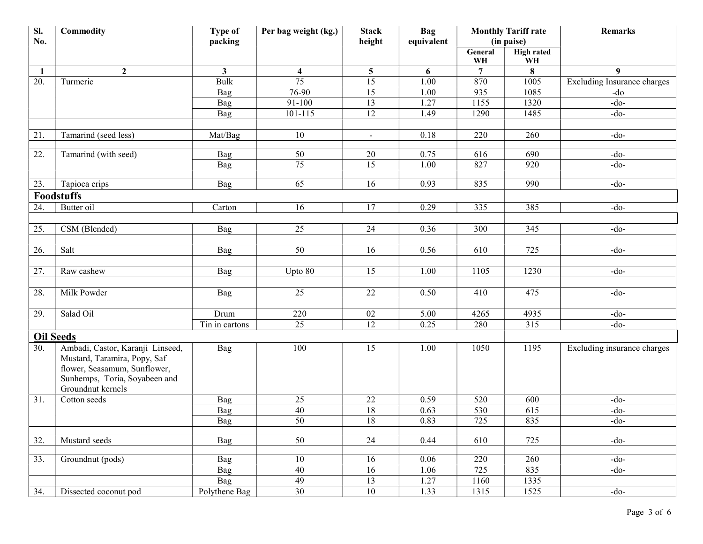| <b>High rated</b><br>General<br>WH<br>WH<br>$\overline{7}$<br>8<br>$\boldsymbol{9}$<br>$\mathbf{2}$<br>$\mathbf{3}$<br>$\overline{\mathbf{5}}$<br>6<br>4<br>-1<br>75<br>$\overline{15}$<br>870<br><b>Bulk</b><br>1.00<br>1005<br>20.<br>Turmeric<br>76-90<br>15<br>935<br>1085<br>1.00<br>Bag<br>-do<br>91-100<br>13<br>1.27<br>1155<br>$-do-$<br>1320<br>Bag<br>$\overline{12}$<br>1.49<br>1290<br>1485<br>$-do-$<br>101-115<br>Bag<br>10<br>220<br>21.<br>Tamarind (seed less)<br>0.18<br>260<br>$-do-$<br>Mat/Bag<br>$\blacksquare$<br>22.<br>Tamarind (with seed)<br>50<br>0.75<br>690<br>$-do-$<br>Bag<br>20<br>616<br>75<br>$\overline{15}$<br>827<br>1.00<br>920<br>$-do-$<br>Bag<br>65<br>0.93<br>835<br>990<br>23.<br>16<br>$-do-$<br>Tapioca crips<br>Bag<br><b>Foodstuffs</b><br>Butter oil<br>16<br>17<br>0.29<br>335<br>385<br>$-do-$<br>24.<br>Carton<br>CSM (Blended)<br>25<br>25.<br>24<br>0.36<br>300<br>345<br>$-do-$<br>Bag | SI.<br>No. | Commodity | <b>Type of</b><br>packing | Per bag weight (kg.) | <b>Stack</b><br>height | <b>Bag</b><br>equivalent | <b>Monthly Tariff rate</b><br>(in paise) |     | <b>Remarks</b>                     |
|------------------------------------------------------------------------------------------------------------------------------------------------------------------------------------------------------------------------------------------------------------------------------------------------------------------------------------------------------------------------------------------------------------------------------------------------------------------------------------------------------------------------------------------------------------------------------------------------------------------------------------------------------------------------------------------------------------------------------------------------------------------------------------------------------------------------------------------------------------------------------------------------------------------------------------------------|------------|-----------|---------------------------|----------------------|------------------------|--------------------------|------------------------------------------|-----|------------------------------------|
|                                                                                                                                                                                                                                                                                                                                                                                                                                                                                                                                                                                                                                                                                                                                                                                                                                                                                                                                                |            |           |                           |                      |                        |                          |                                          |     |                                    |
|                                                                                                                                                                                                                                                                                                                                                                                                                                                                                                                                                                                                                                                                                                                                                                                                                                                                                                                                                |            |           |                           |                      |                        |                          |                                          |     |                                    |
|                                                                                                                                                                                                                                                                                                                                                                                                                                                                                                                                                                                                                                                                                                                                                                                                                                                                                                                                                |            |           |                           |                      |                        |                          |                                          |     | <b>Excluding Insurance charges</b> |
|                                                                                                                                                                                                                                                                                                                                                                                                                                                                                                                                                                                                                                                                                                                                                                                                                                                                                                                                                |            |           |                           |                      |                        |                          |                                          |     |                                    |
|                                                                                                                                                                                                                                                                                                                                                                                                                                                                                                                                                                                                                                                                                                                                                                                                                                                                                                                                                |            |           |                           |                      |                        |                          |                                          |     |                                    |
|                                                                                                                                                                                                                                                                                                                                                                                                                                                                                                                                                                                                                                                                                                                                                                                                                                                                                                                                                |            |           |                           |                      |                        |                          |                                          |     |                                    |
|                                                                                                                                                                                                                                                                                                                                                                                                                                                                                                                                                                                                                                                                                                                                                                                                                                                                                                                                                |            |           |                           |                      |                        |                          |                                          |     |                                    |
|                                                                                                                                                                                                                                                                                                                                                                                                                                                                                                                                                                                                                                                                                                                                                                                                                                                                                                                                                |            |           |                           |                      |                        |                          |                                          |     |                                    |
|                                                                                                                                                                                                                                                                                                                                                                                                                                                                                                                                                                                                                                                                                                                                                                                                                                                                                                                                                |            |           |                           |                      |                        |                          |                                          |     |                                    |
|                                                                                                                                                                                                                                                                                                                                                                                                                                                                                                                                                                                                                                                                                                                                                                                                                                                                                                                                                |            |           |                           |                      |                        |                          |                                          |     |                                    |
|                                                                                                                                                                                                                                                                                                                                                                                                                                                                                                                                                                                                                                                                                                                                                                                                                                                                                                                                                |            |           |                           |                      |                        |                          |                                          |     |                                    |
|                                                                                                                                                                                                                                                                                                                                                                                                                                                                                                                                                                                                                                                                                                                                                                                                                                                                                                                                                |            |           |                           |                      |                        |                          |                                          |     |                                    |
|                                                                                                                                                                                                                                                                                                                                                                                                                                                                                                                                                                                                                                                                                                                                                                                                                                                                                                                                                |            |           |                           |                      |                        |                          |                                          |     |                                    |
|                                                                                                                                                                                                                                                                                                                                                                                                                                                                                                                                                                                                                                                                                                                                                                                                                                                                                                                                                |            |           |                           |                      |                        |                          |                                          |     |                                    |
|                                                                                                                                                                                                                                                                                                                                                                                                                                                                                                                                                                                                                                                                                                                                                                                                                                                                                                                                                |            |           |                           |                      |                        |                          |                                          |     |                                    |
|                                                                                                                                                                                                                                                                                                                                                                                                                                                                                                                                                                                                                                                                                                                                                                                                                                                                                                                                                |            |           |                           |                      |                        |                          |                                          |     |                                    |
|                                                                                                                                                                                                                                                                                                                                                                                                                                                                                                                                                                                                                                                                                                                                                                                                                                                                                                                                                |            |           |                           |                      |                        |                          |                                          |     |                                    |
|                                                                                                                                                                                                                                                                                                                                                                                                                                                                                                                                                                                                                                                                                                                                                                                                                                                                                                                                                | 26.        | Salt      | Bag                       | 50                   | 16                     | 0.56                     | 610                                      | 725 | $-do-$                             |
|                                                                                                                                                                                                                                                                                                                                                                                                                                                                                                                                                                                                                                                                                                                                                                                                                                                                                                                                                |            |           |                           |                      |                        |                          |                                          |     |                                    |
| 27.<br>15<br>$1.00\,$<br>1105<br>$-do-$<br>Raw cashew<br>Bag<br>Upto 80<br>1230                                                                                                                                                                                                                                                                                                                                                                                                                                                                                                                                                                                                                                                                                                                                                                                                                                                                |            |           |                           |                      |                        |                          |                                          |     |                                    |
| 25<br>22<br>28.<br>Milk Powder<br>0.50<br>410<br>475<br>$-do-$<br><b>Bag</b>                                                                                                                                                                                                                                                                                                                                                                                                                                                                                                                                                                                                                                                                                                                                                                                                                                                                   |            |           |                           |                      |                        |                          |                                          |     |                                    |
|                                                                                                                                                                                                                                                                                                                                                                                                                                                                                                                                                                                                                                                                                                                                                                                                                                                                                                                                                |            |           |                           |                      |                        |                          |                                          |     |                                    |
| 29.<br>Salad Oil<br>220<br>02<br>5.00<br>Drum<br>4265<br>4935<br>$-do-$                                                                                                                                                                                                                                                                                                                                                                                                                                                                                                                                                                                                                                                                                                                                                                                                                                                                        |            |           |                           |                      |                        |                          |                                          |     |                                    |
| 12<br>25<br>315<br>0.25<br>$-do-$<br>Tin in cartons<br>280                                                                                                                                                                                                                                                                                                                                                                                                                                                                                                                                                                                                                                                                                                                                                                                                                                                                                     |            |           |                           |                      |                        |                          |                                          |     |                                    |
| <b>Oil Seeds</b>                                                                                                                                                                                                                                                                                                                                                                                                                                                                                                                                                                                                                                                                                                                                                                                                                                                                                                                               |            |           |                           |                      |                        |                          |                                          |     |                                    |
| Ambadi, Castor, Karanji Linseed,<br>100<br>1195<br>Bag<br>15<br>1.00<br>1050<br>30.<br>Mustard, Taramira, Popy, Saf<br>flower, Seasamum, Sunflower,<br>Sunhemps, Toria, Soyabeen and<br>Groundnut kernels                                                                                                                                                                                                                                                                                                                                                                                                                                                                                                                                                                                                                                                                                                                                      |            |           |                           |                      |                        |                          |                                          |     | Excluding insurance charges        |
| 25<br>Bag<br>22<br>0.59<br>520<br>31.<br>Cotton seeds<br>600<br>$-do-$                                                                                                                                                                                                                                                                                                                                                                                                                                                                                                                                                                                                                                                                                                                                                                                                                                                                         |            |           |                           |                      |                        |                          |                                          |     |                                    |
| $\overline{40}$<br>$18\,$<br>530<br>0.63<br>615<br>-do-<br>Bag                                                                                                                                                                                                                                                                                                                                                                                                                                                                                                                                                                                                                                                                                                                                                                                                                                                                                 |            |           |                           |                      |                        |                          |                                          |     |                                    |
| $\overline{50}$<br>$\overline{18}$<br>0.83<br>725<br>835<br>Bag<br>$-do-$                                                                                                                                                                                                                                                                                                                                                                                                                                                                                                                                                                                                                                                                                                                                                                                                                                                                      |            |           |                           |                      |                        |                          |                                          |     |                                    |
|                                                                                                                                                                                                                                                                                                                                                                                                                                                                                                                                                                                                                                                                                                                                                                                                                                                                                                                                                |            |           |                           |                      |                        |                          |                                          |     |                                    |
| Mustard seeds<br>50<br>24<br>725<br>32.<br>0.44<br>610<br>$-do-$<br>Bag                                                                                                                                                                                                                                                                                                                                                                                                                                                                                                                                                                                                                                                                                                                                                                                                                                                                        |            |           |                           |                      |                        |                          |                                          |     |                                    |
| 220<br>33.<br>Groundnut (pods)<br>10<br>16<br>0.06<br>260<br>$-do-$<br>Bag                                                                                                                                                                                                                                                                                                                                                                                                                                                                                                                                                                                                                                                                                                                                                                                                                                                                     |            |           |                           |                      |                        |                          |                                          |     |                                    |
| 725<br>835<br>40<br>16<br>$-do-$<br>Bag<br>1.06                                                                                                                                                                                                                                                                                                                                                                                                                                                                                                                                                                                                                                                                                                                                                                                                                                                                                                |            |           |                           |                      |                        |                          |                                          |     |                                    |
| 49<br>13<br>1160<br>1335<br>Bag<br>1.27                                                                                                                                                                                                                                                                                                                                                                                                                                                                                                                                                                                                                                                                                                                                                                                                                                                                                                        |            |           |                           |                      |                        |                          |                                          |     |                                    |
| $\overline{30}$<br>34.<br>Dissected coconut pod<br>Polythene Bag<br>10<br>1315<br>1525<br>$-do-$<br>1.33                                                                                                                                                                                                                                                                                                                                                                                                                                                                                                                                                                                                                                                                                                                                                                                                                                       |            |           |                           |                      |                        |                          |                                          |     |                                    |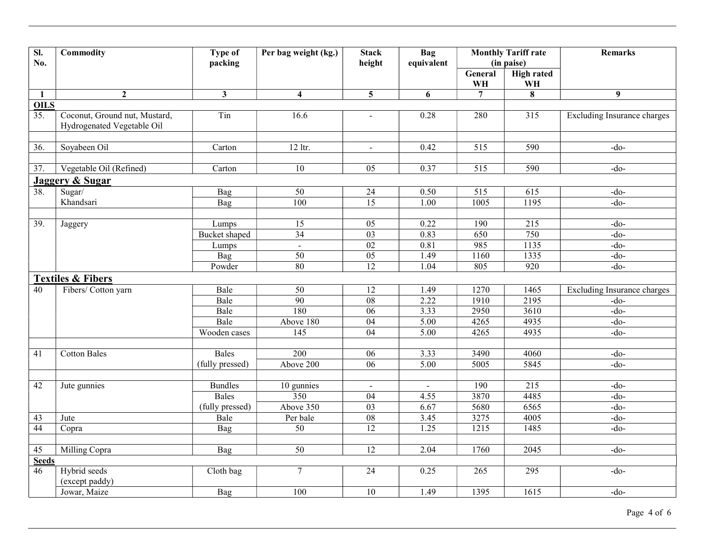| $\overline{\mathbf{S}}$ .<br>No. | Commodity                                                   | Type of<br>packing | Per bag weight (kg.)    | <b>Stack</b><br>height | <b>Bag</b><br>equivalent |                  | <b>Monthly Tariff rate</b><br>(in paise) | <b>Remarks</b>                     |  |
|----------------------------------|-------------------------------------------------------------|--------------------|-------------------------|------------------------|--------------------------|------------------|------------------------------------------|------------------------------------|--|
|                                  |                                                             |                    |                         |                        |                          | General<br>WH    | <b>High rated</b><br>WH                  |                                    |  |
| $\mathbf{1}$                     | $\overline{2}$                                              | $\mathbf{3}$       | $\overline{\mathbf{4}}$ | $\overline{5}$         | 6                        | $\overline{7}$   | 8                                        | 9                                  |  |
| <b>OILS</b>                      |                                                             |                    |                         |                        |                          |                  |                                          |                                    |  |
| 35.                              | Coconut, Ground nut, Mustard,<br>Hydrogenated Vegetable Oil | Tin                | 16.6                    | $\overline{a}$         | 0.28                     | 280              | 315                                      | <b>Excluding Insurance charges</b> |  |
|                                  |                                                             |                    |                         |                        |                          |                  |                                          |                                    |  |
| 36.                              | Soyabeen Oil                                                | Carton             | 12 ltr.                 | $\blacksquare$         | 0.42                     | $\overline{515}$ | 590                                      | $-do$ -                            |  |
| 37.                              | Vegetable Oil (Refined)                                     | Carton             | $\overline{10}$         | $\overline{05}$        | 0.37                     | $\overline{515}$ | 590                                      | $-do$ -                            |  |
|                                  | <b>Jaggery &amp; Sugar</b>                                  |                    |                         |                        |                          |                  |                                          |                                    |  |
| 38.                              | Sugar/                                                      | Bag                | 50                      | 24                     | 0.50                     | 515              | 615                                      | $-do-$                             |  |
|                                  | Khandsari                                                   | Bag                | 100                     | $\overline{15}$        | 1.00                     | 1005             | 1195                                     | $-do-$                             |  |
|                                  |                                                             |                    |                         |                        |                          |                  |                                          |                                    |  |
| 39.                              | Jaggery                                                     | Lumps              | 15                      | 05                     | 0.22                     | 190              | 215                                      | $-do-$                             |  |
|                                  |                                                             | Bucket shaped      | 34                      | 03                     | 0.83                     | 650              | 750                                      | $-do-$                             |  |
|                                  |                                                             | Lumps              | $\mathbb{L}$            | 02                     | 0.81                     | 985              | 1135                                     | $-do-$                             |  |
|                                  |                                                             | Bag                | 50                      | 0 <sub>5</sub>         | 1.49                     | 1160             | 1335                                     | $-do-$                             |  |
|                                  |                                                             | Powder             | 80                      | 12                     | 1.04                     | 805              | 920                                      | $-do-$                             |  |
|                                  | <b>Textiles &amp; Fibers</b>                                |                    |                         |                        |                          |                  |                                          |                                    |  |
| 40                               | Fibers/ Cotton yarn                                         | Bale               | $\overline{50}$         | 12                     | 1.49                     | 1270             | 1465                                     | <b>Excluding Insurance charges</b> |  |
|                                  |                                                             | Bale               | 90                      | ${\bf 08}$             | 2.22                     | 1910             | 2195                                     | $-do-$                             |  |
|                                  |                                                             | Bale               | 180                     | $\overline{06}$        | 3.33                     | 2950             | 3610                                     | $-do-$                             |  |
|                                  |                                                             | Bale               | Above 180               | 04                     | $\overline{5.00}$        | 4265             | 4935                                     | $-do-$                             |  |
|                                  |                                                             | Wooden cases       | 145                     | 04                     | 5.00                     | 4265             | 4935                                     | $-do$                              |  |
|                                  |                                                             |                    |                         |                        |                          |                  |                                          |                                    |  |
| 41                               | <b>Cotton Bales</b>                                         | Bales              | $\overline{200}$        | 06                     | 3.33                     | 3490             | 4060                                     | $-do-$                             |  |
|                                  |                                                             | (fully pressed)    | Above 200               | $\overline{06}$        | 5.00                     | 5005             | 5845                                     | $-do-$                             |  |
|                                  |                                                             |                    |                         |                        |                          |                  |                                          |                                    |  |
| 42                               | Jute gunnies                                                | <b>Bundles</b>     | 10 gunnies              | $\blacksquare$         | $\frac{1}{2}$            | 190              | 215                                      | $-do-$                             |  |
|                                  |                                                             | Bales              | 350                     | $\overline{04}$        | 4.55                     | 3870             | 4485                                     | $-do-$                             |  |
|                                  |                                                             | (fully pressed)    | Above 350               | 03                     | 6.67                     | 5680             | 6565                                     | $-do-$                             |  |
| 43                               | Jute                                                        | Bale               | Per bale                | $\overline{08}$        | 3.45                     | 3275             | 4005                                     | $-do-$                             |  |
| 44                               | Copra                                                       | <b>Bag</b>         | 50                      | $\overline{12}$        | 1.25                     | 1215             | 1485                                     | $-do-$                             |  |
| 45                               | Milling Copra                                               | Bag                | $\overline{50}$         | $\overline{12}$        | 2.04                     | 1760             | 2045                                     | $-do$ -                            |  |
| <b>Seeds</b>                     |                                                             |                    |                         |                        |                          |                  |                                          |                                    |  |
| 46                               | Hybrid seeds                                                | Cloth bag          | $\tau$                  | 24                     | 0.25                     | 265              | 295                                      | $-do-$                             |  |
|                                  | (except paddy)                                              |                    |                         |                        |                          |                  |                                          |                                    |  |
|                                  | Jowar, Maize                                                | Bag                | 100                     | $\overline{10}$        | 1.49                     | 1395             | 1615                                     | $-do-$                             |  |
|                                  |                                                             |                    |                         |                        |                          |                  |                                          |                                    |  |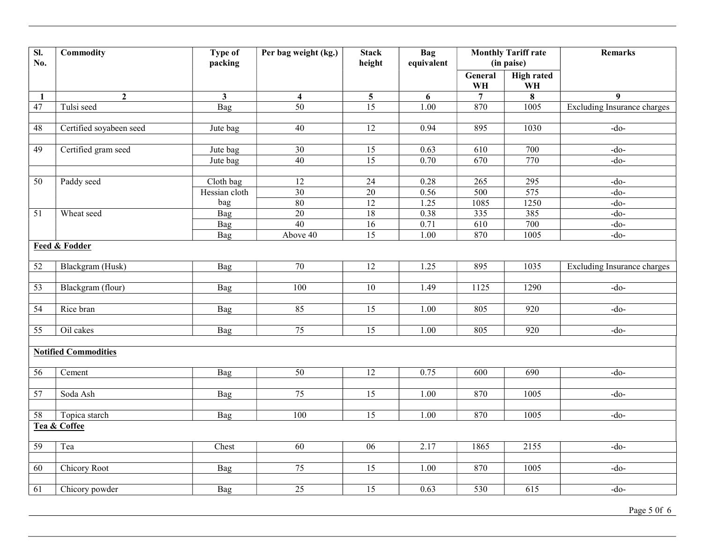| $\overline{sl}$ .<br>No. | Commodity                   | <b>Type of</b><br>packing  | Per bag weight (kg.)    | <b>Stack</b><br>height | Bag<br>equivalent |                         | <b>Monthly Tariff rate</b><br>(in paise) | <b>Remarks</b>                     |
|--------------------------|-----------------------------|----------------------------|-------------------------|------------------------|-------------------|-------------------------|------------------------------------------|------------------------------------|
|                          |                             |                            |                         |                        |                   | General<br>WH           | <b>High rated</b><br>WH                  |                                    |
| 1                        | $\overline{2}$              | $\mathbf{3}$               | $\overline{\mathbf{4}}$ | $5\overline{)}$        | 6                 | $\overline{7}$          | 8                                        | $\boldsymbol{9}$                   |
| 47                       | Tulsi seed                  | <b>Bag</b>                 | 50                      | $\overline{15}$        | 1.00              | 870                     | 1005                                     | <b>Excluding Insurance charges</b> |
|                          |                             |                            |                         |                        |                   |                         |                                          |                                    |
| 48                       | Certified soyabeen seed     | Jute bag                   | 40                      | $\overline{12}$        | 0.94              | 895                     | 1030                                     | $-do-$                             |
|                          |                             |                            |                         |                        |                   |                         |                                          |                                    |
| 49                       | Certified gram seed         | Jute bag                   | $\overline{30}$         | 15                     | 0.63              | 610                     | 700                                      | $-do-$                             |
|                          |                             | Jute bag                   | $\overline{40}$         | $\overline{15}$        | 0.70              | 670                     | 770                                      | $-do-$                             |
|                          |                             |                            |                         |                        |                   |                         |                                          |                                    |
| 50                       | Paddy seed                  | Cloth bag<br>Hessian cloth | 12<br>$\overline{30}$   | 24<br>$\overline{20}$  | 0.28<br>0.56      | 265<br>$\overline{500}$ | 295<br>575                               | $-do-$<br>$-do-$                   |
|                          |                             | bag                        | 80                      | 12                     | 1.25              | 1085                    | 1250                                     | $-do-$                             |
| $\overline{51}$          | Wheat seed                  | Bag                        | $\overline{20}$         | 18                     | 0.38              | 335                     | 385                                      | $-do-$                             |
|                          |                             | Bag                        | 40                      | $\overline{16}$        | 0.71              | 610                     | 700                                      | $-do-$                             |
|                          |                             | Bag                        | Above 40                | 15                     | 1.00              | 870                     | 1005                                     | $-do-$                             |
|                          | <b>Feed &amp; Fodder</b>    |                            |                         |                        |                   |                         |                                          |                                    |
|                          |                             |                            |                         |                        |                   |                         |                                          |                                    |
| 52                       | Blackgram (Husk)            | Bag                        | $\overline{70}$         | 12                     | 1.25              | 895                     | 1035                                     | <b>Excluding Insurance charges</b> |
|                          |                             |                            |                         |                        |                   |                         |                                          |                                    |
| $\overline{53}$          | Blackgram (flour)           | Bag                        | $\overline{100}$        | $\overline{10}$        | 1.49              | 1125                    | 1290                                     | $-do-$                             |
|                          |                             |                            |                         |                        |                   |                         |                                          |                                    |
| $\overline{54}$          | Rice bran                   | Bag                        | 85                      | 15                     | 1.00              | 805                     | 920                                      | $-do-$                             |
|                          |                             |                            |                         |                        |                   |                         |                                          |                                    |
| 55                       | Oil cakes                   | <b>Bag</b>                 | $\overline{75}$         | $\overline{15}$        | 1.00              | 805                     | 920                                      | $-do-$                             |
|                          |                             |                            |                         |                        |                   |                         |                                          |                                    |
|                          | <b>Notified Commodities</b> |                            |                         |                        |                   |                         |                                          |                                    |
| 56                       | Cement                      | <b>Bag</b>                 | 50                      | $\overline{12}$        | 0.75              | $\overline{600}$        | 690                                      | $-do-$                             |
|                          |                             |                            |                         |                        |                   |                         |                                          |                                    |
| $\overline{57}$          | Soda Ash                    | <b>Bag</b>                 | 75                      | $\overline{15}$        | 1.00              | 870                     | 1005                                     | $-do-$                             |
|                          |                             |                            |                         |                        |                   |                         |                                          |                                    |
| 58                       | Topica starch               | Bag                        | 100                     | $\overline{15}$        | $\overline{1.00}$ | 870                     | 1005                                     | $-do-$                             |
|                          | Tea & Coffee                |                            |                         |                        |                   |                         |                                          |                                    |
| 59                       | Tea                         | Chest                      | $\overline{60}$         | $\overline{06}$        | 2.17              | 1865                    | 2155                                     | $-do-$                             |
|                          |                             |                            |                         |                        |                   |                         |                                          |                                    |
| 60                       | Chicory Root                | Bag                        | 75                      | 15                     | 1.00              | 870                     | 1005                                     | $-do-$                             |
|                          |                             |                            |                         |                        |                   |                         |                                          |                                    |
| 61                       | Chicory powder              | Bag                        | 25                      | 15                     | 0.63              | 530                     | 615                                      | $-do-$                             |